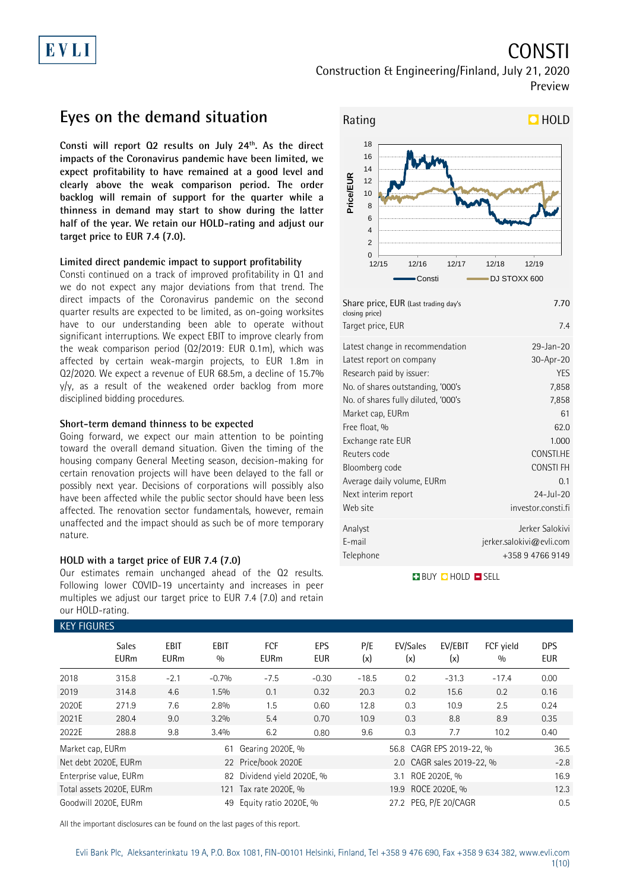## CONSTI Construction & Engineering/Finland, July 21, 2020 Preview

## **Eyes on the demand situation**

**Consti will report Q2 results on July 24th. As the direct impacts of the Coronavirus pandemic have been limited, we expect profitability to have remained at a good level and clearly above the weak comparison period. The order backlog will remain of support for the quarter while a thinness in demand may start to show during the latter half of the year. We retain our HOLD-rating and adjust our target price to EUR 7.4 (7.0).** 

### **Limited direct pandemic impact to support profitability**

Consti continued on a track of improved profitability in Q1 and we do not expect any major deviations from that trend. The direct impacts of the Coronavirus pandemic on the second quarter results are expected to be limited, as on-going worksites have to our understanding been able to operate without significant interruptions. We expect EBIT to improve clearly from the weak comparison period (Q2/2019: EUR 0.1m), which was affected by certain weak-margin projects, to EUR 1.8m in Q2/2020. We expect a revenue of EUR 68.5m, a decline of 15.7% y/y, as a result of the weakened order backlog from more disciplined bidding procedures.

### **Short-term demand thinness to be expected**

Going forward, we expect our main attention to be pointing toward the overall demand situation. Given the timing of the housing company General Meeting season, decision-making for certain renovation projects will have been delayed to the fall or possibly next year. Decisions of corporations will possibly also have been affected while the public sector should have been less affected. The renovation sector fundamentals, however, remain unaffected and the impact should as such be of more temporary nature.

### **HOLD with a target price of EUR 7.4 (7.0)**

Our estimates remain unchanged ahead of the Q2 results. Following lower COVID-19 uncertainty and increases in peer multiples we adjust our target price to EUR 7.4 (7.0) and retain our HOLD-rating.



| Share price, EUR (Last trading day's<br>closing price)<br>Target price, EUR | 7.70<br>74                  |
|-----------------------------------------------------------------------------|-----------------------------|
| Latest change in recommendation                                             | $29 - Jan - 20$             |
| Latest report on company                                                    | 30-Apr-20                   |
| Research paid by issuer:                                                    | <b>YES</b>                  |
| No. of shares outstanding, '000's                                           | 7,858                       |
| No. of shares fully diluted, '000's                                         | 7,858                       |
| Market cap, EURm                                                            | 61                          |
| Free float, %                                                               | 62.0                        |
| Exchange rate EUR                                                           | 1.000                       |
| Reuters code                                                                | CONSTI.HE                   |
| Bloomberg code                                                              | CONSTI FH                   |
| Average daily volume, EURm                                                  | 0 <sub>1</sub>              |
| Next interim report                                                         | $24 -  u  - 20$             |
| Web site                                                                    | investor.consti.fi          |
| Analyst                                                                     | Jerker Salokivi             |
| E-mail                                                                      | $j$ erker.salokivi@evli.com |
| Telephone                                                                   | +358 9 4766 9149            |

### **BUY QHOLD SELL**

| <b>KEY FIGURES</b> |                             |                            |                    |                           |                          |            |                          |                           |                  |                   |
|--------------------|-----------------------------|----------------------------|--------------------|---------------------------|--------------------------|------------|--------------------------|---------------------------|------------------|-------------------|
|                    | <b>Sales</b><br><b>EURm</b> | <b>EBIT</b><br><b>EURm</b> | <b>EBIT</b><br>0/0 | <b>FCF</b><br><b>EURm</b> | <b>EPS</b><br><b>EUR</b> | P/E<br>(x) | EV/Sales<br>(x)          | EV/EBIT<br>(x)            | FCF vield<br>0/0 | <b>DPS</b><br>EUR |
| 2018               | 315.8                       | $-2.1$                     | $-0.7%$            | $-7.5$                    | $-0.30$                  | $-18.5$    | 0.2                      | $-31.3$                   | $-17.4$          | 0.00              |
| 2019               | 314.8                       | 4.6                        | 1.5%               | 0.1                       | 0.32                     | 20.3       | 0.2                      | 15.6                      | 0.2              | 0.16              |
| 2020E              | 271.9                       | 7.6                        | 2.8%               | 1.5                       | 0.60                     | 12.8       | 0.3                      | 10.9                      | 2.5              | 0.24              |
| 2021E              | 280.4                       | 9.0                        | 3.2%               | 5.4                       | 0.70                     | 10.9       | 0.3                      | 8.8                       | 8.9              | 0.35              |
| 2022E              | 288.8                       | 9.8                        | 3.4%               | 6.2                       | 0.80                     | 9.6        | 0.3                      | 7.7                       | 10.2             | 0.40              |
| Market cap, EURm   |                             |                            | 61                 | Gearing 2020E, %          |                          |            | 56.8 CAGR EPS 2019-22, % | 36.5                      |                  |                   |
|                    | Net debt 2020E, EURm        |                            | 22                 | Price/book 2020E          |                          |            |                          | 2.0 CAGR sales 2019-22, % |                  | $-2.8$            |
|                    | Enterprise value, EURm      |                            | 82                 | Dividend yield 2020E, %   | ROE 2020E. %<br>3.1      |            |                          |                           | 16.9             |                   |
|                    | Total assets 2020E, EURm    |                            | 121                | Tax rate 2020E, %         |                          |            | 19.9 ROCE 2020E, %       |                           |                  |                   |
|                    | Goodwill 2020E, EURm        |                            | 49                 | Equity ratio 2020E, %     |                          |            | 27.2 PEG, P/E 20/CAGR    |                           |                  | 0.5               |

All the important disclosures can be found on the last pages of this report.

### Evli Bank Plc, Aleksanterinkatu 19 A, P.O. Box 1081, FIN-00101 Helsinki, Finland, Tel +358 9 476 690, Fax +358 9 634 382, [www.evli.com](http://www.evli.com/) 1(10)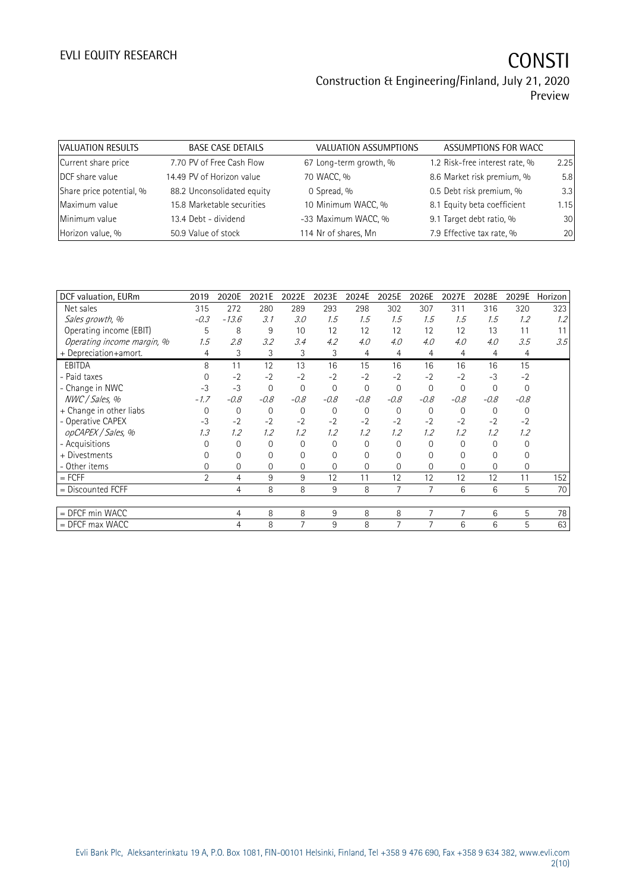# EVLI EQUITY RESEARCH **CONSTI**

## Construction & Engineering/Finland, July 21, 2020 Preview

| VALUATION RESULTS        | <b>BASE CASE DETAILS</b>   | VALUATION ASSUMPTIONS  | ASSUMPTIONS FOR WACC           |      |
|--------------------------|----------------------------|------------------------|--------------------------------|------|
| Current share price      | 7.70 PV of Free Cash Flow  | 67 Long-term growth, % | 1.2 Risk-free interest rate, % | 2.25 |
| DCF share value          | 14.49 PV of Horizon value  | 70 WACC, %             | 8.6 Market risk premium, %     | 5.8  |
| Share price potential, % | 88.2 Unconsolidated equity | 0 Spread, %            | 0.5 Debt risk premium, %       | 3.3  |
| Maximum value            | 15.8 Marketable securities | 10 Minimum WACC, %     | 8.1 Equity beta coefficient    | 1.15 |
| Minimum value            | 13.4 Debt - dividend       | -33 Maximum WACC, %    | 9.1 Target debt ratio, %       | 30   |
| Horizon value, %         | 50.9 Value of stock        | 114 Nr of shares, Mn   | 7.9 Effective tax rate, %      | 20   |

| 2019           | 2020E          | 2021E    | 2022E       | 2023E       |          | 2025E        | 2026E          | 2027E    | 2028E    | 2029E    | Horizon |
|----------------|----------------|----------|-------------|-------------|----------|--------------|----------------|----------|----------|----------|---------|
| 315            | 272            | 280      | 289         | 293         | 298      | 302          | 307            | 311      | 316      | 320      | 323     |
| $-0.3$         | $-13.6$        | 3.1      | 3.0         | 1.5         | 1.5      | 1.5          | 1.5            | 1.5      | 1.5      | 1.2      | 1.2     |
| 5              | 8              | 9        | 10          | 12          | 12       | 12           | 12             | 12       | 13       | 11       | 11      |
| 1.5            | 2.8            | 3.2      | 3.4         | 4.2         | 4.0      | 4.0          | 4.0            | 4.0      | 4.0      | 3.5      | 3.5     |
| 4              | 3              | 3        | 3           | 3           | 4        | 4            | 4              | 4        | 4        | 4        |         |
| 8              | 11             | 12       | 13          | 16          | 15       | 16           | 16             | 16       | 16       | 15       |         |
| $\Omega$       | $-2$           | $-2$     | $-2$        | $-2$        | $-2$     | $-2$         | $-2$           | $-2$     | $-3$     | $-2$     |         |
| $-3$           | $-3$           | $\Omega$ | $\mathbf 0$ | $\mathbf 0$ | $\Omega$ | $\mathbf{0}$ | $\mathbf{0}$   | $\Omega$ | 0        | $\Omega$ |         |
| $-1.7$         | $-0.8$         | $-0.8$   | $-0.8$      | $-0.8$      | $-0.8$   | $-0.8$       | $-0.8$         | $-0.8$   | $-0.8$   | $-0.8$   |         |
| $\Omega$       | $\mathbf 0$    | 0        | 0           | $\mathbf 0$ | 0        | $\mathbf 0$  | 0              | 0        | $\Omega$ | $\Omega$ |         |
| $-3$           | $-2$           | $-2$     | $-2$        | $-2$        | $-2$     | $-2$         | $-2$           | $-2$     | $-2$     | $-2$     |         |
| 1.3            | 1.2            | 1.2      | 1.2         | 1.2         | 1.2      | 1.2          | 1.2            | 1.2      | 1.2      | 1.2      |         |
|                | $\mathbf 0$    | 0        | $\Omega$    | $\Omega$    | $\Omega$ | $\Omega$     | $\Omega$       | $\Omega$ | $\Omega$ | 0        |         |
|                | 0              | 0        | 0           | 0           | 0        | $\Omega$     | 0              | 0        | 0        |          |         |
|                | $\overline{0}$ | 0        | $\Omega$    | $\Omega$    | $\Omega$ | $\Omega$     | $\Omega$       | 0        | $\Omega$ | 0        |         |
| $\overline{2}$ | $\overline{4}$ | 9        | 9           | 12          | 11       | 12           | 12             | 12       | 12       | 11       | 152     |
|                | $\overline{4}$ | 8        | 8           | 9           | 8        | 7            | $\overline{7}$ | 6        | 6        | 5        | 70      |
|                |                |          |             |             |          |              |                |          |          |          |         |
|                | $\overline{4}$ | 8        | 8           | 9           | 8        | 8            | 7              | 7        | 6        | 5        | 78      |
|                | 4              | 8        | 7           | 9           | 8        |              | 7              | 6        | 6        | 5        | 63      |
|                |                |          |             |             |          | 2024E        |                |          |          |          |         |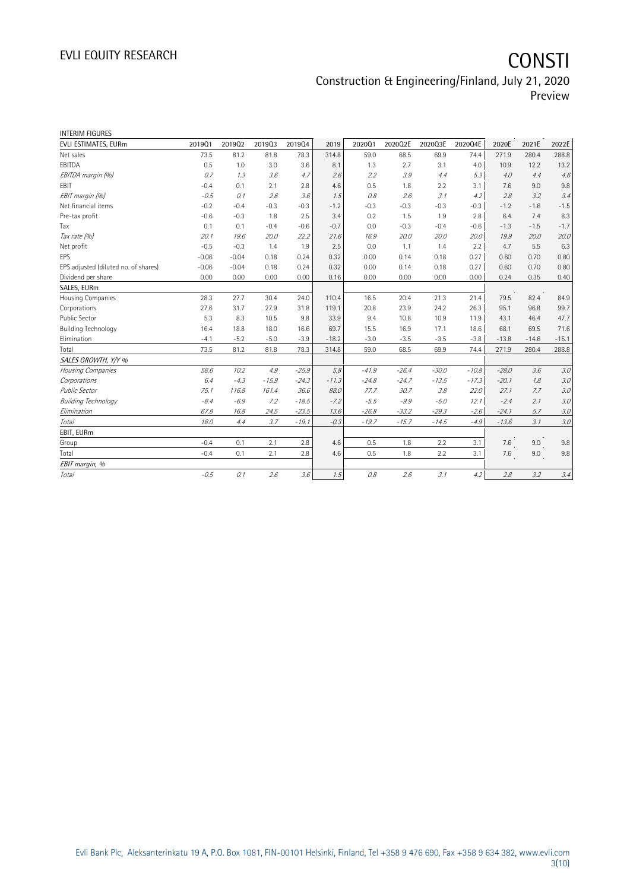# EVLI EQUITY RESEARCH **CONSTI**

## Construction & Engineering/Finland, July 21, 2020 Preview

| <b>INTERIM FIGURES</b>               |         |         |         |         |         |         |         |         |         |         |         |         |
|--------------------------------------|---------|---------|---------|---------|---------|---------|---------|---------|---------|---------|---------|---------|
| EVLI ESTIMATES, EURm                 | 201901  | 201902  | 201903  | 201904  | 2019    | 202001  | 2020Q2E | 2020Q3E | 2020Q4E | 2020E   | 2021E   | 2022E   |
| Net sales                            | 73.5    | 81.2    | 81.8    | 78.3    | 314.8   | 59.0    | 68.5    | 69.9    | 74.4    | 271.9   | 280.4   | 288.8   |
| EBITDA                               | 0.5     | 1.0     | 3.0     | 3.6     | 8.1     | 1.3     | 2.7     | 3.1     | 4.0     | 10.9    | 12.2    | 13.2    |
| EBITDA margin (%)                    | 0.7     | 1.3     | 3.6     | 4.7     | 2.6     | 2.2     | 3.9     | 4.4     | 5.3     | 4.0     | 4.4     | 4.6     |
| EBIT                                 | $-0.4$  | 0.1     | 2.1     | 2.8     | 4.6     | 0.5     | 1.8     | 2.2     | 3.1     | 7.6     | 9.0     | 9.8     |
| EBIT margin (%)                      | $-0.5$  | 0.1     | 2.6     | 3.6     | 1.5     | 0.8     | 2.6     | 3.1     | 4.2     | 2.8     | 3.2     | 3.4     |
| Net financial items                  | $-0.2$  | $-0.4$  | $-0.3$  | $-0.3$  | $-1.2$  | $-0.3$  | $-0.3$  | $-0.3$  | $-0.3$  | $-1.2$  | $-1.6$  | $-1.5$  |
| Pre-tax profit                       | $-0.6$  | $-0.3$  | 1.8     | 2.5     | 3.4     | 0.2     | 1.5     | 1.9     | 2.8     | 6.4     | 7.4     | 8.3     |
| Tax                                  | 0.1     | 0.1     | $-0.4$  | $-0.6$  | $-0.7$  | 0.0     | $-0.3$  | $-0.4$  | $-0.6$  | $-1.3$  | $-1.5$  | $-1.7$  |
| Tax rate (%)                         | 20.1    | 19.6    | 20.0    | 22.2    | 21.6    | 16.9    | 20.0    | 20.0    | 20.0    | 19.9    | 20.0    | 20.0    |
| Net profit                           | $-0.5$  | $-0.3$  | 1.4     | 1.9     | 2.5     | 0.0     | 1.1     | 1.4     | 2.2     | 4.7     | 5.5     | 6.3     |
| <b>EPS</b>                           | $-0.06$ | $-0.04$ | 0.18    | 0.24    | 0.32    | 0.00    | 0.14    | 0.18    | 0.27    | 0.60    | 0.70    | 0.80    |
| EPS adjusted (diluted no. of shares) | $-0.06$ | $-0.04$ | 0.18    | 0.24    | 0.32    | 0.00    | 0.14    | 0.18    | 0.27    | 0.60    | 0.70    | 0.80    |
| Dividend per share                   | 0.00    | 0.00    | 0.00    | 0.00    | 0.16    | 0.00    | 0.00    | 0.00    | 0.00    | 0.24    | 0.35    | 0.40    |
| SALES, EURm                          |         |         |         |         |         |         |         |         |         |         |         |         |
| Housing Companies                    | 28.3    | 27.7    | 30.4    | 24.0    | 110.4   | 16.5    | 20.4    | 21.3    | 21.4    | 79.5    | 82.4    | 84.9    |
| Corporations                         | 27.6    | 31.7    | 27.9    | 31.8    | 119.1   | 20.8    | 23.9    | 24.2    | 26.3    | 95.1    | 96.8    | 99.7    |
| <b>Public Sector</b>                 | 5.3     | 8.3     | 10.5    | 9.8     | 33.9    | 9.4     | 10.8    | 10.9    | 11.9    | 43.1    | 46.4    | 47.7    |
| <b>Building Technology</b>           | 16.4    | 18.8    | 18.0    | 16.6    | 69.7    | 15.5    | 16.9    | 17.1    | 18.6    | 68.1    | 69.5    | 71.6    |
| Elimination                          | $-4.1$  | $-5.2$  | $-5.0$  | $-3.9$  | $-18.2$ | $-3.0$  | $-3.5$  | $-3.5$  | $-3.8$  | $-13.8$ | $-14.6$ | $-15.1$ |
| Total                                | 73.5    | 81.2    | 81.8    | 78.3    | 314.8   | 59.0    | 68.5    | 69.9    | 74.4    | 271.9   | 280.4   | 288.8   |
| SALES GROWTH, Y/Y %                  |         |         |         |         |         |         |         |         |         |         |         |         |
| Housing Companies                    | 58.6    | 10.2    | 4.9     | $-25.9$ | 5.8     | $-41.9$ | $-26.4$ | $-30.0$ | $-10.8$ | $-28.0$ | 3.6     | 3.0     |
| Corporations                         | 6.4     | $-4.3$  | $-15.9$ | $-24.3$ | $-11.3$ | $-24.8$ | $-24.7$ | $-13.5$ | $-17.3$ | $-20.1$ | 1.8     | 3.0     |
| <b>Public Sector</b>                 | 75.1    | 116.8   | 161.4   | 36.6    | 88.0    | 77.7    | 30.7    | 3.8     | 22.0    | 27.1    | 7.7     | 3.0     |
| <b>Building Technology</b>           | $-8.4$  | $-6.9$  | 7.2     | $-18.5$ | $-7.2$  | $-5.5$  | $-9.9$  | $-5.0$  | 12.1    | $-2.4$  | 2.1     | 3.0     |
| Elimination                          | 67.8    | 16.8    | 24.5    | $-23.5$ | 13.6    | $-26.8$ | $-33.2$ | $-29.3$ | $-2.6$  | $-24.1$ | 5.7     | $3.0\,$ |
| Total                                | 18.0    | 4.4     | 3.7     | $-19.1$ | $-0.3$  | $-19.7$ | $-15.7$ | $-14.5$ | $-4.9$  | $-13.6$ | 3.1     | $3.0\,$ |
| EBIT, EURm                           |         |         |         |         |         |         |         |         |         |         |         |         |
| Group                                | $-0.4$  | 0.1     | 2.1     | 2.8     | 4.6     | 0.5     | 1.8     | 2.2     | 3.1     | 7.6     | 9.0     | 9.8     |
| Total                                | $-0.4$  | 0.1     | 2.1     | 2.8     | 4.6     | 0.5     | 1.8     | 2.2     | 3.1     | 7.6     | 9.0     | $9.8\,$ |
| EBIT margin, %                       |         |         |         |         |         |         |         |         |         |         |         |         |
| <b>Total</b>                         | $-0.5$  | 0.1     | 2.6     | 3.6     | 1.5     | 0.8     | 2.6     | 3.1     | 4.2     | 2.8     | 3.2     | 3.4     |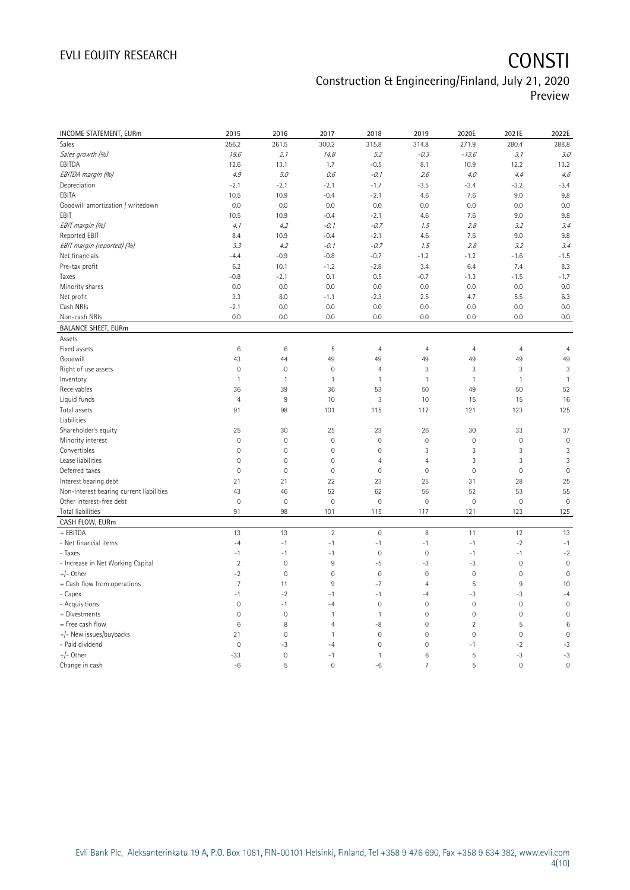# EVLI EQUITY RESEARCH **CONSTI**

## Construction & Engineering/Finland, July 21, 2020 Preview

| INCOME STATEMENT, EURm                   | 2015                | 2016                | 2017                | 2018           | 2019            | 2020E               | 2021E               | 2022E          |
|------------------------------------------|---------------------|---------------------|---------------------|----------------|-----------------|---------------------|---------------------|----------------|
| Sales                                    | 256.2               | 261.5               | 300.2               | 315.8          | 314.8           | 271.9               | 280.4               | 288.8          |
| Sales growth (%)                         | 18.6                | 2.1                 | 14.8                | 5.2            | $-0.3$          | $-13.6$             | 3.1                 | 3.0            |
| EBITDA                                   | 12.6                | 13.1                | 1.7                 | $-0.5$         | 8.1             | 10.9                | 12.2                | 13.2           |
| EBITDA margin (%)                        | 4.9                 | 5.0                 | 0.6                 | $-0.1$         | 2.6             | 4.0                 | 4.4                 | 4.6            |
| Depreciation                             | $-2.1$              | $-2.1$              | $-2.1$              | $-1.7$         | $-3.5$          | $-3.4$              | $-3.2$              | $-3.4$         |
| EBITA                                    | 10.5                | 10.9                | $-0.4$              | $-2.1$         | 4.6             | 7.6                 | 9.0                 | 9.8            |
| Goodwill amortization / writedown        | 0.0                 | 0.0                 | 0.0                 | 0.0            | 0.0             | 0.0                 | 0.0                 | 0.0            |
| EBIT                                     | 10.5                | 10.9                | $-0.4$              | $-2.1$         | 4.6             | 7.6                 | 9.0                 | 9.8            |
| EBIT margin (%)                          | 4.1                 | 4.2                 | $-0.1$              | $-0.7$         | 1.5             | 2.8                 | 3.2                 | 3.4            |
| Reported EBIT                            | 8.4                 | 10.9                | $-0.4$              | $-2.1$         | 4.6             | 7.6                 | 9.0                 | 9.8            |
| EBIT margin (reported) (%)               | 3.3                 | 4.2                 | $-0.1$              | $-0.7$         | 1.5             | 2.8                 | 3.2                 | 3.4            |
| Net financials                           | $-4.4$              | $-0.9$              | $-0.8$              | $-0.7$         | $-1.2$          | $-1.2$              | $-1.6$              | $-1.5$         |
| Pre-tax profit                           | 6.2                 | 10.1                | $-1.2$              | $-2.8$         | 3.4             | 6.4                 | 7.4                 | 8.3            |
| Taxes                                    | $-0.8$              | $-2.1$              | 0.1                 | 0.5            | $-0.7$          | $-1.3$              | $-1.5$              | $-1.7$         |
| Minority shares                          | 0.0                 | 0.0                 | 0.0                 | 0.0            | 0.0             | 0.0                 | 0.0                 | 0.0            |
| Net profit                               | 3.3                 | 8.0                 | $-1.1$              | $-2.3$         | 2.5             | 4.7                 | 5.5                 | 6.3            |
| Cash NRIs                                | $-2.1$              | 0.0                 | 0.0                 | 0.0            | 0.0             | 0.0                 | 0.0                 | 0.0            |
| Non-cash NRIs                            | 0.0                 | 0.0                 | 0.0                 | 0.0            | 0.0             | 0.0                 | 0.0                 | 0.0            |
| <b>BALANCE SHEET, EURm</b>               |                     |                     |                     |                |                 |                     |                     |                |
| Assets                                   |                     |                     |                     |                |                 |                     |                     |                |
| Fixed assets                             | $\,6$               | $\,6\,$             | 5                   | $\overline{4}$ | $\overline{4}$  | $\overline{4}$      | $\overline{4}$      | $\overline{4}$ |
| Goodwill                                 | 43                  | 44                  | 49                  | 49             | 49              | 49                  | 49                  | 49             |
| Right of use assets                      | $\mathsf{O}\xspace$ | $\mathbf 0$         | $\mathbf 0$         | $\overline{4}$ | 3               | $\mathfrak{Z}$      | 3                   | 3              |
| Inventory                                | $\mathbf{1}$        | $\mathbf{1}$        | $\mathbf{1}$        | 1              | $\overline{1}$  | $\mathbf{1}$        | $\mathbf{1}$        | $\mathbf{1}$   |
| Receivables                              | 36                  | 39                  | 36                  | 53             | 50              | 49                  | 50                  | 52             |
| Liquid funds                             | $\overline{4}$      | $9\,$               | 10                  | 3              | 10              | 15                  | 15                  | 16             |
| Total assets                             | 91                  | 98                  | 101                 | 115            | 117             | 121                 | 123                 | 125            |
| Liabilities                              |                     |                     |                     |                |                 |                     |                     |                |
| Shareholder's equity                     | 25                  | 30                  | 25                  | 23             | 26              | 30                  | 33                  | 37             |
| Minority interest                        | $\mathsf{O}\xspace$ | $\mathbf 0$         | $\mathbf 0$         | $\mathbf 0$    | $\mathbf 0$     | $\mathsf{O}\xspace$ | $\mathbf 0$         | $\mathbf 0$    |
| Convertibles                             | $\overline{0}$      | $\mathbf 0$         | $\mathbf{0}$        | $\mathbf 0$    | 3               | 3                   | 3                   | 3              |
| Lease liabilities                        | $\mathsf{O}\xspace$ | $\mathbf 0$         | $\mathsf{O}\xspace$ | $\overline{4}$ | $\overline{4}$  | 3                   | 3                   | 3              |
| Deferred taxes                           | $\mathbf 0$         | $\mathbf 0$         | $\mathbf 0$         | $\mathbf 0$    | $\mathbf 0$     | $\mathbb O$         | $\mathbf 0$         | $\overline{0}$ |
| Interest bearing debt                    | 21                  | 21                  | 22                  | 23             | 25              | 31                  | 28                  | 25             |
| Non-interest bearing current liabilities | 43                  | 46                  | 52                  | 62             | 56              | 52                  | 53                  | 55             |
| Other interest-free debt                 | $\mathbf 0$         | $\mathbf 0$         | $\mathbf 0$         | $\mathbf 0$    | $\mathbf 0$     | $\mathbf 0$         | $\mathbf 0$         | $\mathbf 0$    |
| Total liabilities                        | 91                  | 98                  | 101                 | 115            | 117             | 121                 | 123                 | 125            |
| CASH FLOW, EURm                          |                     |                     |                     |                |                 |                     |                     |                |
| + EBITDA                                 | 13                  | 13                  | $\overline{2}$      | $\mathbf 0$    | 8               | 11                  | 12                  | 13             |
| - Net financial items                    | $-4$                | $-1$                | $-1$                | $-1$           | $-1$            | $-1$                | $-2$                | $-1$           |
| - Taxes                                  | $-1$                | $-1$                | $-1$                | $\mathbf 0$    | $\mathbf 0$     | $-1$                | $-1$                | $-2$           |
| - Increase in Net Working Capital        | $\sqrt{2}$          | $\mathbb O$         | $9\,$               | $-5$           | $-3$            | $-3$                | $\mathsf{O}\xspace$ | $\mathbf 0$    |
| +/- Other                                | $-2$                | $\mathbf 0$         | $\mathbf 0$         | $\mathbf 0$    | $\mathbf 0$     | $\mathbf 0$         | $\mathbf 0$         | $\mathbf 0$    |
| = Cash flow from operations              | $\overline{7}$      | 11                  | 9                   | $-7$           | $\overline{4}$  | $\overline{5}$      | 9                   | 10             |
| - Capex                                  | $-1$                | $-2$                | $-1$                | $-1$           | $-4$            | $-3$                | -3                  | $-4$           |
| - Acquisitions                           | $\overline{0}$      | $-1$                | $-4$                | $\mathbf{0}$   | $\mathbf{0}$    | $\mathbf{0}$        | $\mathbf 0$         | $\overline{0}$ |
| + Divestments                            | $\mathsf{O}\xspace$ | $\mathbf 0$         | 1                   | $\mathbf{1}$   | $\mathbf 0$     | $\mathbf 0$         | $\mathbf 0$         | $\mathbf 0$    |
| = Free cash flow                         | 6                   | 8                   | 4                   | -8             | $\mathbf 0$     | $\overline{2}$      | 5                   | 6              |
| +/- New issues/buybacks                  | 21                  | $\mathsf{O}\xspace$ | 1                   | $\mathbf 0$    | $\mathbf 0$     | $\mathbb O$         | 0                   | $\mathbf 0$    |
| - Paid dividend                          | $\overline{0}$      | -3                  | $-4$                | $\mathbf 0$    | $\mathbf 0$     | $-1$                | $-2$                | $-3$           |
| +/- Other                                | $-33$               | $\mathbf 0$         | $-1$                | $\mathbf{1}$   | $6\phantom{1}6$ | 5                   | $-3$                | $-3$           |
| Change in cash                           | $-6$                | 5                   | $\Omega$            | $-6$           | $\overline{7}$  | 5                   | $\mathbf 0$         | $\mathbf 0$    |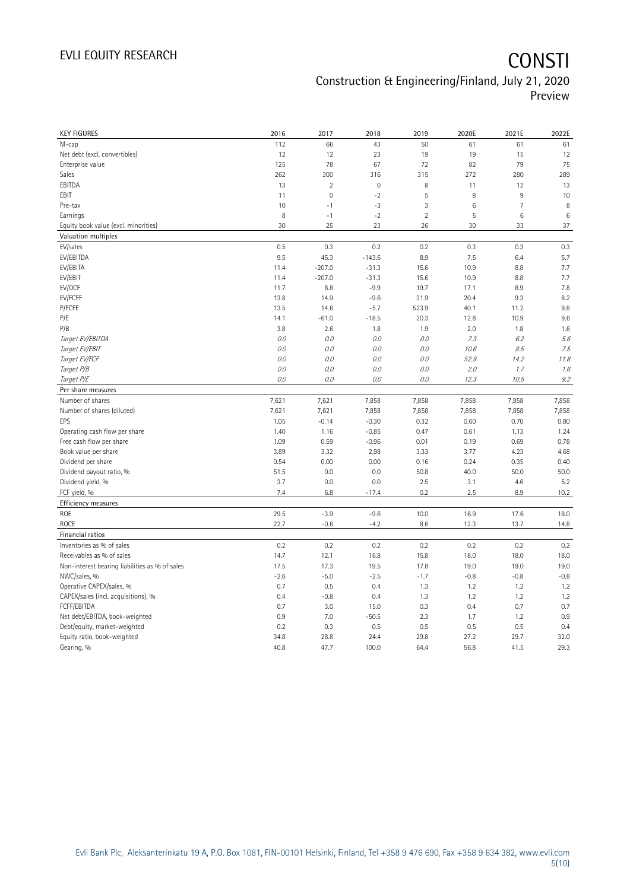| <b>KEY FIGURES</b>                             | 2016   | 2017           | 2018                | 2019           | 2020E   | 2021E          | 2022E  |
|------------------------------------------------|--------|----------------|---------------------|----------------|---------|----------------|--------|
| M-cap                                          | 112    | 66             | 43                  | 50             | 61      | 61             | 61     |
| Net debt (excl. convertibles)                  | 12     | 12             | 23                  | 19             | 19      | 15             | 12     |
| Enterprise value                               | 125    | 78             | 67                  | 72             | 82      | 79             | 75     |
| Sales                                          | 262    | 300            | 316                 | 315            | 272     | 280            | 289    |
| EBITDA                                         | 13     | $\overline{2}$ | $\mathsf{O}\xspace$ | 8              | 11      | 12             | 13     |
| EBIT                                           | 11     | $\mathbf 0$    | $-2$                | 5              | $\, 8$  | 9              | 10     |
| Pre-tax                                        | 10     | $-1$           | $-3$                | 3              | $\,6\,$ | $\overline{7}$ | 8      |
| Earnings                                       | 8      | $-1$           | $-2$                | $\overline{2}$ | 5       | 6              | 6      |
| Equity book value (excl. minorities)           | 30     | 25             | 23                  | 26             | 30      | 33             | 37     |
| Valuation multiples                            |        |                |                     |                |         |                |        |
| EV/sales                                       | 0.5    | 0.3            | 0.2                 | 0.2            | 0.3     | 0.3            | 0.3    |
| EV/EBITDA                                      | 9.5    | 45.3           | $-143.6$            | 8.9            | 7.5     | 6.4            | 5.7    |
| EV/EBITA                                       | 11.4   | $-207.0$       | $-31.3$             | 15.6           | 10.9    | 8.8            | 7.7    |
| EV/EBIT                                        | 11.4   | $-207.0$       | $-31.3$             | 15.6           | 10.9    | 8.8            | 7.7    |
| EV/OCF                                         | 11.7   | 8.8            | $-9.9$              | 19.7           | 17.1    | 8.9            | 7.8    |
| EV/FCFF                                        | 13.8   | 14.9           | $-9.6$              | 31.9           | 20.4    | 9.3            | 8.2    |
| P/FCFE                                         | 13.5   | 14.6           | $-5.7$              | 523.9          | 40.1    | 11.2           | 9.8    |
| P/E                                            | 14.1   | $-61.0$        | $-18.5$             | 20.3           | 12.8    | 10.9           | 9.6    |
| P/B                                            | 3.8    | 2.6            | 1.8                 | 1.9            | 2.0     | 1.8            | 1.6    |
| Target EV/EBITDA                               | 0.0    | 0.0            | 0.0                 | 0.0            | 7.3     | 6.2            | 5.6    |
| Target EV/EBIT                                 | 0.0    | 0.0            | 0.0                 | 0.0            | 10.6    | 8.5            | 7.5    |
| Target EV/FCF                                  | $O.O$  | 0.0            | 0.0                 | $O.O$          | 52.9    | 14.2           | 11.8   |
| Target P/B                                     | $O.O$  | 0.0            | 0.0                 | 0.0            | 2.0     | 1.7            | 1.6    |
| Target P/E                                     | 0.0    | 0.0            | 0.0                 | 0.0            | 12.3    | 10.5           | 9.2    |
| Per share measures                             |        |                |                     |                |         |                |        |
| Number of shares                               | 7,621  | 7,621          | 7,858               | 7,858          | 7,858   | 7,858          | 7,858  |
| Number of shares (diluted)                     | 7,621  | 7,621          | 7,858               | 7,858          | 7,858   | 7,858          | 7,858  |
| EPS                                            | 1.05   | $-0.14$        | $-0.30$             | 0.32           | 0.60    | 0.70           | 0.80   |
| Operating cash flow per share                  | 1.40   | 1.16           | $-0.85$             | 0.47           | 0.61    | 1.13           | 1.24   |
| Free cash flow per share                       | 1.09   | 0.59           | $-0.96$             | 0.01           | 0.19    | 0.69           | 0.78   |
| Book value per share                           | 3.89   | 3.32           | 2.98                | 3.33           | 3.77    | 4.23           | 4.68   |
| Dividend per share                             | 0.54   | 0.00           | 0.00                | 0.16           | 0.24    | 0.35           | 0.40   |
| Dividend payout ratio, %                       | 51.5   | 0.0            | 0.0                 | 50.8           | 40.0    | 50.0           | 50.0   |
| Dividend yield, %                              | 3.7    | 0.0            | 0.0                 | 2.5            | 3.1     | 4.6            | 5.2    |
| FCF yield, %                                   | 7.4    | 6.8            | $-17.4$             | 0.2            | 2.5     | 8.9            | 10.2   |
| Efficiency measures                            |        |                |                     |                |         |                |        |
| ROE                                            | 29.5   | $-3.9$         | $-9.6$              | 10.0           | 16.9    | 17.6           | 18.0   |
| <b>ROCE</b>                                    | 22.7   | $-0.6$         | $-4.2$              | 8.6            | 12.3    | 13.7           | 14.8   |
| Financial ratios                               |        |                |                     |                |         |                |        |
| Inventories as % of sales                      | 0.2    | 0.2            | 0.2                 | 0.2            | 0.2     | 0.2            | 0.2    |
| Receivables as % of sales                      | 14.7   | 12.1           | 16.8                | 15.8           | 18.0    | 18.0           | 18.0   |
| Non-interest bearing liabilities as % of sales | 17.5   | 17.3           | 19.5                | 17.8           | 19.0    | 19.0           | 19.0   |
| NWC/sales, %                                   | $-2.6$ | $-5.0$         | $-2.5$              | $-1.7$         | $-0.8$  | $-0.8$         | $-0.8$ |
| Operative CAPEX/sales, %                       | 0.7    | 0.5            | 0.4                 | 1.3            | 1.2     | 1.2            | 1.2    |
| CAPEX/sales (incl. acquisitions), %            | 0.4    | $-0.8$         | 0.4                 | 1.3            | 1.2     | 1.2            | 1.2    |
| FCFF/EBITDA                                    | 0.7    | 3.0            | 15.0                | 0.3            | 0.4     | 0.7            | 0.7    |
| Net debt/EBITDA, book-weighted                 | 0.9    | 7.0            | $-50.5$             | 2.3            | 1.7     | 1.2            | 0.9    |
| Debt/equity, market-weighted                   | 0.2    | 0.3            | 0.5                 | 0.5            | 0.5     | 0.5            | 0.4    |
| Equity ratio, book-weighted                    | 34.8   | 28.8           | 24.4                | 29.8           | 27.2    | 29.7           | 32.0   |
| Gearing, %                                     | 40.8   | 47.7           | 100.0               | 64.4           | 56.8    | 41.5           | 29.3   |
|                                                |        |                |                     |                |         |                |        |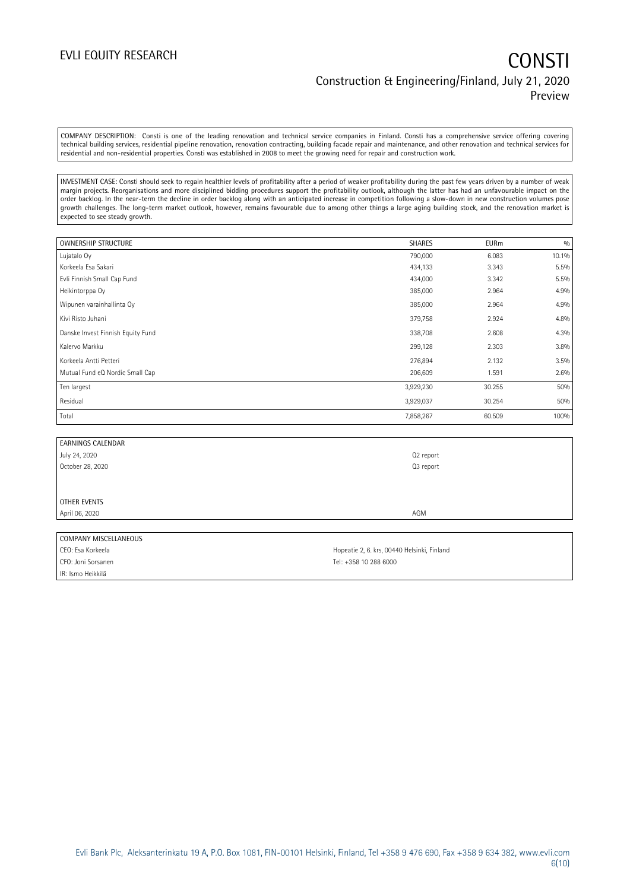COMPANY DESCRIPTION: Consti is one of the leading renovation and technical service companies in Finland. Consti has a comprehensive service offering covering technical building services, residential pipeline renovation, renovation contracting, building facade repair and maintenance, and other renovation and technical services for residential and non-residential properties. Consti was established in 2008 to meet the growing need for repair and construction work.

INVESTMENT CASE: Consti should seek to regain healthier levels of profitability after a period of weaker profitability during the past few years driven by a number of weak margin projects. Reorganisations and more disciplined bidding procedures support the profitability outlook, although the latter has had an unfavourable impact on the order backlog. In the near-term the decline in order backlog along with an anticipated increase in competition following a slow-down in new construction volumes pose growth challenges. The long-term market outlook, however, remains favourable due to among other things a large aging building stock, and the renovation market is expected to see steady growth.

| <b>OWNERSHIP STRUCTURE</b>        | <b>SHARES</b> | <b>EURm</b> | 0/0   |
|-----------------------------------|---------------|-------------|-------|
| Lujatalo Oy                       | 790,000       | 6.083       | 10.1% |
| Korkeela Esa Sakari               | 434,133       | 3.343       | 5.5%  |
| Evli Finnish Small Cap Fund       | 434,000       | 3.342       | 5.5%  |
| Heikintorppa Oy                   | 385,000       | 2.964       | 4.9%  |
| Wipunen varainhallinta Oy         | 385,000       | 2.964       | 4.9%  |
| Kivi Risto Juhani                 | 379,758       | 2.924       | 4.8%  |
| Danske Invest Finnish Equity Fund | 338,708       | 2.608       | 4.3%  |
| Kalervo Markku                    | 299,128       | 2.303       | 3.8%  |
| Korkeela Antti Petteri            | 276,894       | 2.132       | 3.5%  |
| Mutual Fund eQ Nordic Small Cap   | 206,609       | 1.591       | 2.6%  |
| Ten largest                       | 3,929,230     | 30.255      | 50%   |
| Residual                          | 3,929,037     | 30.254      | 50%   |
| Total                             | 7,858,267     | 60.509      | 100%  |

| <b>EARNINGS CALENDAR</b> |           |
|--------------------------|-----------|
| July 24, 2020            | Q2 report |
| October 28, 2020         | Q3 report |
|                          |           |
|                          |           |
| OTHER EVENTS             |           |
| April 06, 2020           | AGM       |
|                          |           |

### COMPANY MISCELLANEOUS

CFO: Joni Sorsanen Tel: +358 10 288 6000 IR: Ismo Heikkilä

CEO: Esa Korkeela **Hopeatie 2, 6. krs, 00440 Helsinki, Finland**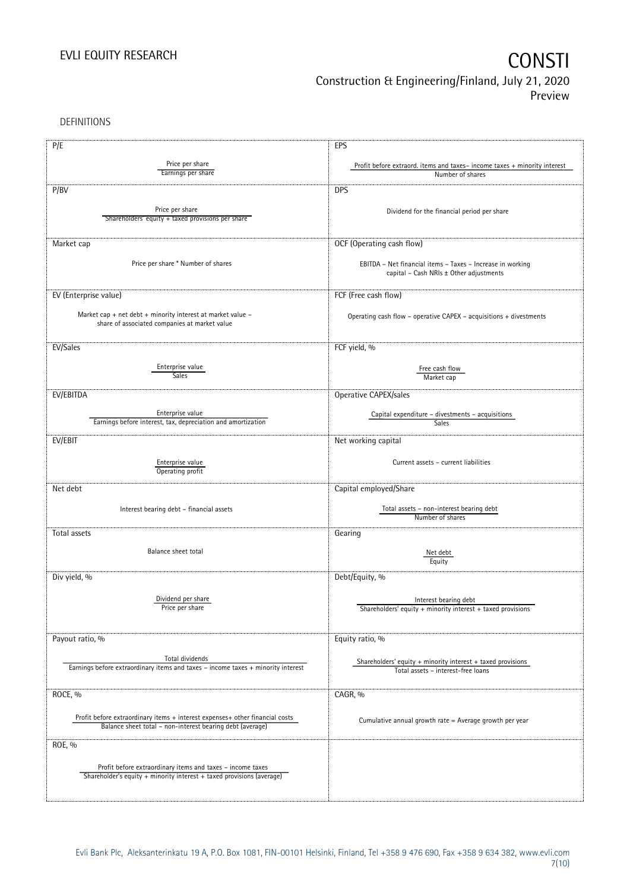DEFINITIONS

| P/E                                                                              | EPS                                                                                  |
|----------------------------------------------------------------------------------|--------------------------------------------------------------------------------------|
|                                                                                  |                                                                                      |
| Price per share<br>Earnings per share                                            | Profit before extraord. items and taxes-income taxes + minority interest             |
|                                                                                  | Number of shares                                                                     |
| P/BV                                                                             | <b>DPS</b>                                                                           |
|                                                                                  |                                                                                      |
| Price per share                                                                  | Dividend for the financial period per share                                          |
| Shareholders' equity + taxed provisions per share                                |                                                                                      |
|                                                                                  |                                                                                      |
| Market cap                                                                       | OCF (Operating cash flow)                                                            |
|                                                                                  |                                                                                      |
| Price per share * Number of shares                                               | EBITDA - Net financial items - Taxes - Increase in working                           |
|                                                                                  | capital - Cash NRIs ± Other adjustments                                              |
|                                                                                  |                                                                                      |
| EV (Enterprise value)                                                            | FCF (Free cash flow)                                                                 |
| Market cap + net debt + minority interest at market value $-$                    |                                                                                      |
| share of associated companies at market value                                    | Operating cash flow - operative CAPEX - acquisitions + divestments                   |
|                                                                                  |                                                                                      |
|                                                                                  |                                                                                      |
| EV/Sales                                                                         | FCF yield, %                                                                         |
| Enterprise value                                                                 | Free cash flow                                                                       |
| Sales                                                                            | Market cap                                                                           |
|                                                                                  |                                                                                      |
| EV/EBITDA                                                                        | Operative CAPEX/sales                                                                |
|                                                                                  |                                                                                      |
| Enterprise value<br>Earnings before interest, tax, depreciation and amortization | Capital expenditure - divestments - acquisitions<br>Sales                            |
|                                                                                  |                                                                                      |
| EV/EBIT                                                                          | Net working capital                                                                  |
|                                                                                  |                                                                                      |
| Enterprise value                                                                 | Current assets - current liabilities                                                 |
| Operating profit                                                                 |                                                                                      |
| Net debt                                                                         | Capital employed/Share                                                               |
|                                                                                  |                                                                                      |
| Interest bearing debt - financial assets                                         | Total assets - non-interest bearing debt                                             |
|                                                                                  | Number of shares                                                                     |
| Total assets                                                                     | Gearing                                                                              |
|                                                                                  |                                                                                      |
| Balance sheet total                                                              | Net debt                                                                             |
|                                                                                  | Equity                                                                               |
|                                                                                  |                                                                                      |
| Div yield, %                                                                     | Debt/Equity, %                                                                       |
| Dividend per share                                                               |                                                                                      |
| Price per share                                                                  | Interest bearing debt<br>Shareholders' equity + minority interest + taxed provisions |
|                                                                                  |                                                                                      |
|                                                                                  |                                                                                      |
| Payout ratio, %                                                                  | Equity ratio, %                                                                      |
|                                                                                  |                                                                                      |
| Total dividends                                                                  | Shareholders' equity $+$ minority interest $+$ taxed provisions                      |
| Earnings before extraordinary items and taxes - income taxes + minority interest | Total assets - interest-free loans                                                   |
|                                                                                  |                                                                                      |
| ROCE, %                                                                          | CAGR, %                                                                              |
|                                                                                  |                                                                                      |
| Profit before extraordinary items + interest expenses+ other financial costs     |                                                                                      |
| Balance sheet total - non-interest bearing debt (average)                        | Cumulative annual growth rate = Average growth per year                              |
|                                                                                  |                                                                                      |
| ROE, %                                                                           |                                                                                      |
|                                                                                  |                                                                                      |
| Profit before extraordinary items and taxes - income taxes                       |                                                                                      |
| Shareholder's equity + minority interest + taxed provisions (average)            |                                                                                      |
|                                                                                  |                                                                                      |
|                                                                                  |                                                                                      |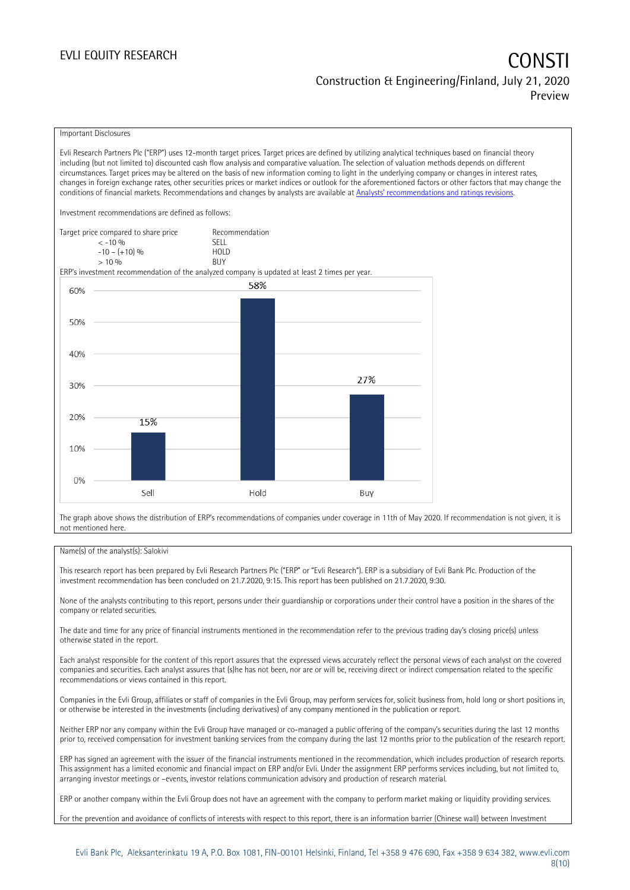### EVLI EQUITY RESEARCH

# Construction & Engineering/Finland, July 21, 2020 Preview

### Important Disclosures

Evli Research Partners Plc ("ERP") uses 12-month target prices. Target prices are defined by utilizing analytical techniques based on financial theory including (but not limited to) discounted cash flow analysis and comparative valuation. The selection of valuation methods depends on different circumstances. Target prices may be altered on the basis of new information coming to light in the underlying company or changes in interest rates, changes in foreign exchange rates, other securities prices or market indices or outlook for the aforementioned factors or other factors that may change the conditions of financial markets. Recommendations and changes by analysts are available at [Analysts' recommendations and ratings revisions](https://research.evli.com/JasperAllModels.action?authParam=key;461&authParam=x;G3rNagWrtf7K&authType=3). Investment recommendations are defined as follows: Target price compared to share price Recommendation



The graph above shows the distribution of ERP's recommendations of companies under coverage in 11th of May 2020. If recommendation is not given, it is not mentioned here.

### Name(s) of the analyst(s): Salokivi

This research report has been prepared by Evli Research Partners Plc ("ERP" or "Evli Research"). ERP is a subsidiary of Evli Bank Plc. Production of the investment recommendation has been concluded on 21.7.2020, 9:15. This report has been published on 21.7.2020, 9:30.

None of the analysts contributing to this report, persons under their guardianship or corporations under their control have a position in the shares of the company or related securities.

The date and time for any price of financial instruments mentioned in the recommendation refer to the previous trading day's closing price(s) unless otherwise stated in the report.

Each analyst responsible for the content of this report assures that the expressed views accurately reflect the personal views of each analyst on the covered companies and securities. Each analyst assures that (s)he has not been, nor are or will be, receiving direct or indirect compensation related to the specific recommendations or views contained in this report.

Companies in the Evli Group, affiliates or staff of companies in the Evli Group, may perform services for, solicit business from, hold long or short positions in, or otherwise be interested in the investments (including derivatives) of any company mentioned in the publication or report.

Neither ERP nor any company within the Evli Group have managed or co-managed a public offering of the company's securities during the last 12 months prior to, received compensation for investment banking services from the company during the last 12 months prior to the publication of the research report.

ERP has signed an agreement with the issuer of the financial instruments mentioned in the recommendation, which includes production of research reports. This assignment has a limited economic and financial impact on ERP and/or Evli. Under the assignment ERP performs services including, but not limited to, arranging investor meetings or –events, investor relations communication advisory and production of research material.

ERP or another company within the Evli Group does not have an agreement with the company to perform market making or liquidity providing services.

For the prevention and avoidance of conflicts of interests with respect to this report, there is an information barrier (Chinese wall) between Investment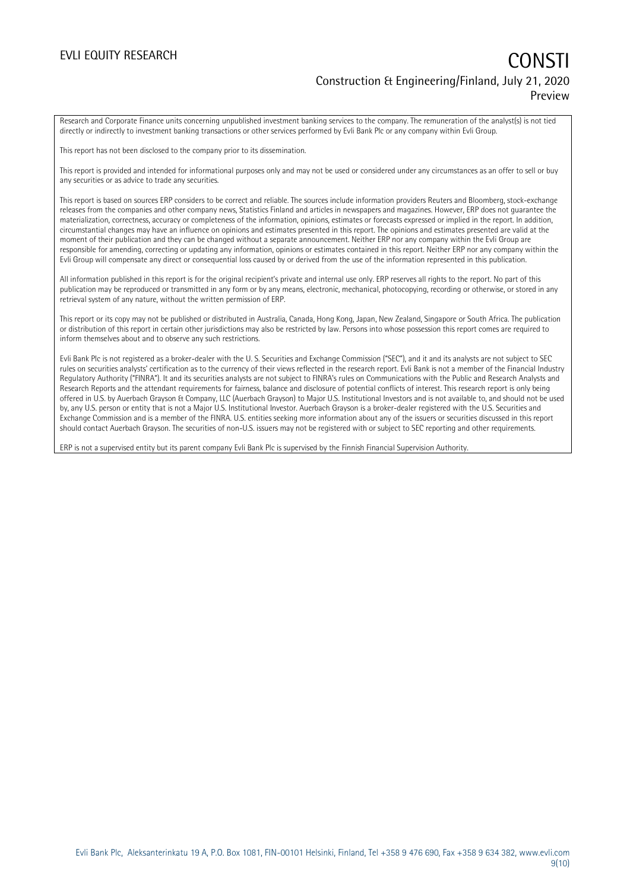## EVLI EQUITY RESEARCH **CONSTITUTE OF A CONSTITUTE OF A CONSTITUTE OF A CONSTITUTE OF A CONSTITUTE OF A CONSTITUTE** Construction & Engineering/Finland, July 21, 2020 Preview

Research and Corporate Finance units concerning unpublished investment banking services to the company. The remuneration of the analyst(s) is not tied directly or indirectly to investment banking transactions or other services performed by Evli Bank Plc or any company within Evli Group.

This report has not been disclosed to the company prior to its dissemination.

This report is provided and intended for informational purposes only and may not be used or considered under any circumstances as an offer to sell or buy any securities or as advice to trade any securities.

This report is based on sources ERP considers to be correct and reliable. The sources include information providers Reuters and Bloomberg, stock-exchange releases from the companies and other company news, Statistics Finland and articles in newspapers and magazines. However, ERP does not guarantee the materialization, correctness, accuracy or completeness of the information, opinions, estimates or forecasts expressed or implied in the report. In addition, circumstantial changes may have an influence on opinions and estimates presented in this report. The opinions and estimates presented are valid at the moment of their publication and they can be changed without a separate announcement. Neither ERP nor any company within the Evli Group are responsible for amending, correcting or updating any information, opinions or estimates contained in this report. Neither ERP nor any company within the Evli Group will compensate any direct or consequential loss caused by or derived from the use of the information represented in this publication.

All information published in this report is for the original recipient's private and internal use only. ERP reserves all rights to the report. No part of this publication may be reproduced or transmitted in any form or by any means, electronic, mechanical, photocopying, recording or otherwise, or stored in any retrieval system of any nature, without the written permission of ERP.

This report or its copy may not be published or distributed in Australia, Canada, Hong Kong, Japan, New Zealand, Singapore or South Africa. The publication or distribution of this report in certain other jurisdictions may also be restricted by law. Persons into whose possession this report comes are required to inform themselves about and to observe any such restrictions.

Evli Bank Plc is not registered as a broker-dealer with the U. S. Securities and Exchange Commission ("SEC"), and it and its analysts are not subject to SEC rules on securities analysts' certification as to the currency of their views reflected in the research report. Evli Bank is not a member of the Financial Industry Regulatory Authority ("FINRA"). It and its securities analysts are not subject to FINRA's rules on Communications with the Public and Research Analysts and Research Reports and the attendant requirements for fairness, balance and disclosure of potential conflicts of interest. This research report is only being offered in U.S. by Auerbach Grayson & Company, LLC (Auerbach Grayson) to Major U.S. Institutional Investors and is not available to, and should not be used by, any U.S. person or entity that is not a Major U.S. Institutional Investor. Auerbach Grayson is a broker-dealer registered with the U.S. Securities and Exchange Commission and is a member of the FINRA. U.S. entities seeking more information about any of the issuers or securities discussed in this report should contact Auerbach Grayson. The securities of non-U.S. issuers may not be registered with or subject to SEC reporting and other requirements.

ERP is not a supervised entity but its parent company Evli Bank Plc is supervised by the Finnish Financial Supervision Authority.